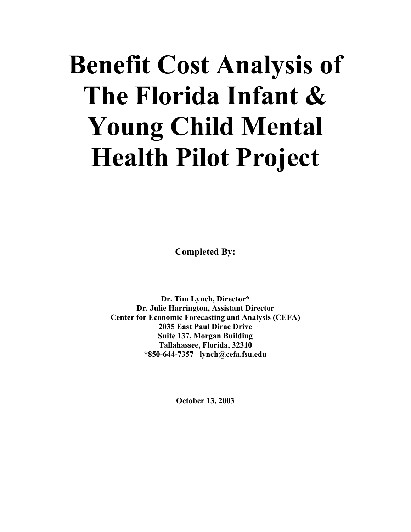# **Benefit Cost Analysis of The Florida Infant & Young Child Mental Health Pilot Project**

**Completed By:** 

**Dr. Tim Lynch, Director\* Dr. Julie Harrington, Assistant Director Center for Economic Forecasting and Analysis (CEFA) 2035 East Paul Dirac Drive Suite 137, Morgan Building Tallahassee, Florida, 32310 \*850-644-7357 lynch@cefa.fsu.edu** 

**October 13, 2003**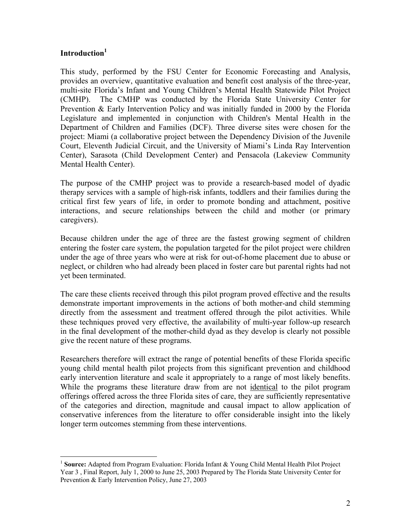# $\mathbf{Introduction}^1$

 $\overline{a}$ 

This study, performed by the FSU Center for Economic Forecasting and Analysis, provides an overview, quantitative evaluation and benefit cost analysis of the three-year, multi-site Florida's Infant and Young Children's Mental Health Statewide Pilot Project (CMHP). The CMHP was conducted by the Florida State University Center for Prevention & Early Intervention Policy and was initially funded in 2000 by the Florida Legislature and implemented in conjunction with Children's Mental Health in the Department of Children and Families (DCF). Three diverse sites were chosen for the project: Miami (a collaborative project between the Dependency Division of the Juvenile Court, Eleventh Judicial Circuit, and the University of Miami's Linda Ray Intervention Center), Sarasota (Child Development Center) and Pensacola (Lakeview Community Mental Health Center).

The purpose of the CMHP project was to provide a research-based model of dyadic therapy services with a sample of high-risk infants, toddlers and their families during the critical first few years of life, in order to promote bonding and attachment, positive interactions, and secure relationships between the child and mother (or primary caregivers).

Because children under the age of three are the fastest growing segment of children entering the foster care system, the population targeted for the pilot project were children under the age of three years who were at risk for out-of-home placement due to abuse or neglect, or children who had already been placed in foster care but parental rights had not yet been terminated.

The care these clients received through this pilot program proved effective and the results demonstrate important improvements in the actions of both mother-and child stemming directly from the assessment and treatment offered through the pilot activities. While these techniques proved very effective, the availability of multi-year follow-up research in the final development of the mother-child dyad as they develop is clearly not possible give the recent nature of these programs.

Researchers therefore will extract the range of potential benefits of these Florida specific young child mental health pilot projects from this significant prevention and childhood early intervention literature and scale it appropriately to a range of most likely benefits. While the programs these literature draw from are not identical to the pilot program offerings offered across the three Florida sites of care, they are sufficiently representative of the categories and direction, magnitude and causal impact to allow application of conservative inferences from the literature to offer considerable insight into the likely longer term outcomes stemming from these interventions.

<span id="page-1-0"></span><sup>1</sup> **Source:** Adapted from Program Evaluation: Florida Infant & Young Child Mental Health Pilot Project Year 3 , Final Report, July 1, 2000 to June 25, 2003 Prepared by The Florida State University Center for Prevention & Early Intervention Policy, June 27, 2003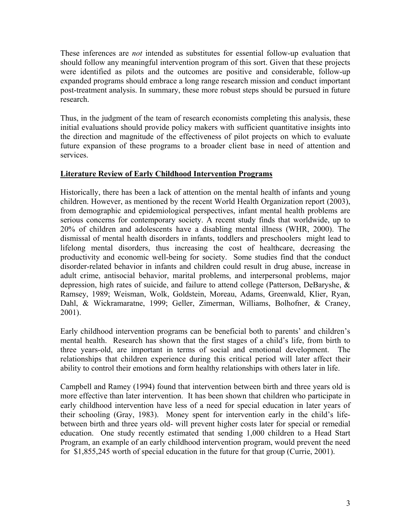These inferences are *not* intended as substitutes for essential follow-up evaluation that should follow any meaningful intervention program of this sort. Given that these projects were identified as pilots and the outcomes are positive and considerable, follow-up expanded programs should embrace a long range research mission and conduct important post-treatment analysis. In summary, these more robust steps should be pursued in future research.

Thus, in the judgment of the team of research economists completing this analysis, these initial evaluations should provide policy makers with sufficient quantitative insights into the direction and magnitude of the effectiveness of pilot projects on which to evaluate future expansion of these programs to a broader client base in need of attention and services.

#### **Literature Review of Early Childhood Intervention Programs**

Historically, there has been a lack of attention on the mental health of infants and young children. However, as mentioned by the recent World Health Organization report (2003), from demographic and epidemiological perspectives, infant mental health problems are serious concerns for contemporary society. A recent study finds that worldwide, up to 20% of children and adolescents have a disabling mental illness (WHR, 2000). The dismissal of mental health disorders in infants, toddlers and preschoolers might lead to lifelong mental disorders, thus increasing the cost of healthcare, decreasing the productivity and economic well-being for society. Some studies find that the conduct disorder-related behavior in infants and children could result in drug abuse, increase in adult crime, antisocial behavior, marital problems, and interpersonal problems, major depression, high rates of suicide, and failure to attend college (Patterson, DeBaryshe, & Ramsey, 1989; Weisman, Wolk, Goldstein, Moreau, Adams, Greenwald, Klier, Ryan, Dahl, & Wickramaratne, 1999; Geller, Zimerman, Williams, Bolhofner, & Craney, 2001).

Early childhood intervention programs can be beneficial both to parents' and children's mental health. Research has shown that the first stages of a child's life, from birth to three years-old, are important in terms of social and emotional development. The relationships that children experience during this critical period will later affect their ability to control their emotions and form healthy relationships with others later in life.

Campbell and Ramey (1994) found that intervention between birth and three years old is more effective than later intervention. It has been shown that children who participate in early childhood intervention have less of a need for special education in later years of their schooling (Gray, 1983). Money spent for intervention early in the child's lifebetween birth and three years old- will prevent higher costs later for special or remedial education. One study recently estimated that sending 1,000 children to a Head Start Program, an example of an early childhood intervention program, would prevent the need for \$1,855,245 worth of special education in the future for that group (Currie, 2001).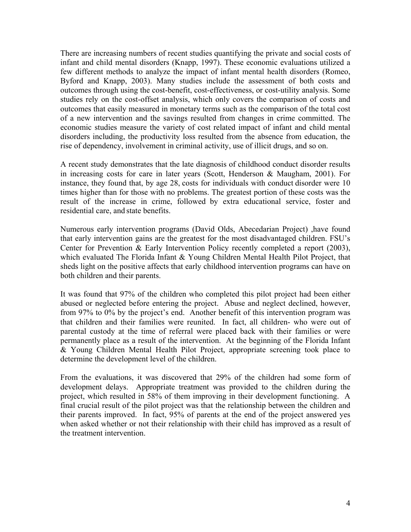There are increasing numbers of recent studies quantifying the private and social costs of infant and child mental disorders (Knapp, 1997). These economic evaluations utilized a few different methods to analyze the impact of infant mental health disorders (Romeo, Byford and Knapp, 2003). Many studies include the assessment of both costs and outcomes through using the cost-benefit, cost-effectiveness, or cost-utility analysis. Some studies rely on the cost-offset analysis, which only covers the comparison of costs and outcomes that easily measured in monetary terms such as the comparison of the total cost of a new intervention and the savings resulted from changes in crime committed. The economic studies measure the variety of cost related impact of infant and child mental disorders including, the productivity loss resulted from the absence from education, the rise of dependency, involvement in criminal activity, use of illicit drugs, and so on.

A recent study demonstrates that the late diagnosis of childhood conduct disorder results in increasing costs for care in later years (Scott, Henderson & Maugham, 2001). For instance, they found that, by age 28, costs for individuals with conduct disorder were 10 times higher than for those with no problems. The greatest portion of these costs was the result of the increase in crime, followed by extra educational service, foster and residential care, and state benefits.

Numerous early intervention programs (David Olds, Abecedarian Project) ,have found that early intervention gains are the greatest for the most disadvantaged children. FSU's Center for Prevention & Early Intervention Policy recently completed a report (2003), which evaluated The Florida Infant & Young Children Mental Health Pilot Project, that sheds light on the positive affects that early childhood intervention programs can have on both children and their parents.

It was found that 97% of the children who completed this pilot project had been either abused or neglected before entering the project. Abuse and neglect declined, however, from 97% to 0% by the project's end. Another benefit of this intervention program was that children and their families were reunited. In fact, all children- who were out of parental custody at the time of referral were placed back with their families or were permanently place as a result of the intervention. At the beginning of the Florida Infant & Young Children Mental Health Pilot Project, appropriate screening took place to determine the development level of the children.

From the evaluations, it was discovered that 29% of the children had some form of development delays. Appropriate treatment was provided to the children during the project, which resulted in 58% of them improving in their development functioning. A final crucial result of the pilot project was that the relationship between the children and their parents improved. In fact, 95% of parents at the end of the project answered yes when asked whether or not their relationship with their child has improved as a result of the treatment intervention.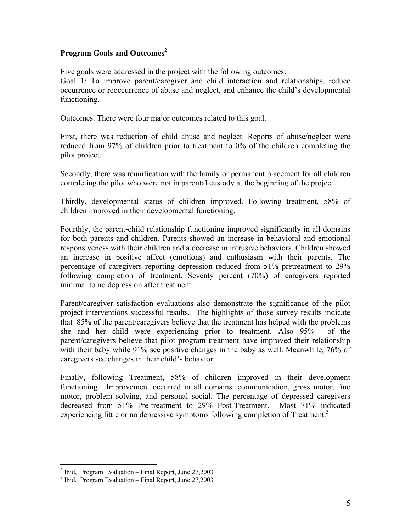### **Program Goals and Outcomes**[2](#page-4-0)

Five goals were addressed in the project with the following outcomes:

Goal 1: To improve parent/caregiver and child interaction and relationships, reduce occurrence or reoccurrence of abuse and neglect, and enhance the child's developmental functioning.

Outcomes. There were four major outcomes related to this goal.

First, there was reduction of child abuse and neglect. Reports of abuse/neglect were reduced from 97% of children prior to treatment to 0% of the children completing the pilot project.

Secondly, there was reunification with the family or permanent placement for all children completing the pilot who were not in parental custody at the beginning of the project.

Thirdly, developmental status of children improved. Following treatment, 58% of children improved in their developmental functioning.

Fourthly, the parent-child relationship functioning improved significantly in all domains for both parents and children. Parents showed an increase in behavioral and emotional responsiveness with their children and a decrease in intrusive behaviors. Children showed an increase in positive affect (emotions) and enthusiasm with their parents. The percentage of caregivers reporting depression reduced from 51% pretreatment to 29% following completion of treatment. Seventy percent (70%) of caregivers reported minimal to no depression after treatment.

Parent/caregiver satisfaction evaluations also demonstrate the significance of the pilot project interventions successful results. The highlights of those survey results indicate that 85% of the parent/caregivers believe that the treatment has helped with the problems she and her child were experiencing prior to treatment. Also 95% of the parent/caregivers believe that pilot program treatment have improved their relationship with their baby while 91% see positive changes in the baby as well. Meanwhile, 76% of caregivers see changes in their child's behavior.

Finally, following Treatment, 58% of children improved in their development functioning. Improvement occurred in all domains: communication, gross motor, fine motor, problem solving, and personal social. The percentage of depressed caregivers decreased from 51% Pre-treatment to 29% Post-Treatment. Most 71% indicated experiencing little or no depressive symptoms following completion of Treatment.<sup>[3](#page-4-1)</sup>

<span id="page-4-0"></span><sup>&</sup>lt;sup>2</sup> Ibid, Program Evaluation – Final Report, June 27,2003<br><sup>3</sup> Ibid, Program Evaluation – Final Report, June 27,2003

<span id="page-4-1"></span> $3$  Ibid, Program Evaluation – Final Report, June 27,2003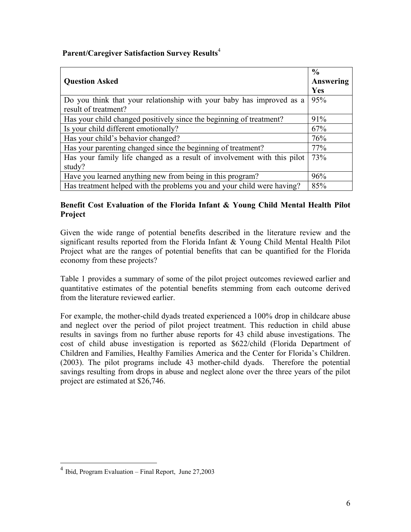## **Parent/Caregiver Satisfaction Survey Results**[4](#page-5-0)

| <b>Question Asked</b>                                                   | $\frac{0}{0}$<br>Answering |
|-------------------------------------------------------------------------|----------------------------|
|                                                                         | Yes                        |
| Do you think that your relationship with your baby has improved as a    | 95%                        |
| result of treatment?                                                    |                            |
| Has your child changed positively since the beginning of treatment?     | 91%                        |
| Is your child different emotionally?                                    | 67%                        |
| Has your child's behavior changed?                                      | 76%                        |
| Has your parenting changed since the beginning of treatment?            | 77%                        |
| Has your family life changed as a result of involvement with this pilot | 73%                        |
| study?                                                                  |                            |
| Have you learned anything new from being in this program?               | 96%                        |
| Has treatment helped with the problems you and your child were having?  | 85%                        |

### **Benefit Cost Evaluation of the Florida Infant & Young Child Mental Health Pilot Project**

Given the wide range of potential benefits described in the literature review and the significant results reported from the Florida Infant & Young Child Mental Health Pilot Project what are the ranges of potential benefits that can be quantified for the Florida economy from these projects?

Table 1 provides a summary of some of the pilot project outcomes reviewed earlier and quantitative estimates of the potential benefits stemming from each outcome derived from the literature reviewed earlier.

For example, the mother-child dyads treated experienced a 100% drop in childcare abuse and neglect over the period of pilot project treatment. This reduction in child abuse results in savings from no further abuse reports for 43 child abuse investigations. The cost of child abuse investigation is reported as \$622/child (Florida Department of Children and Families, Healthy Families America and the Center for Florida's Children. (2003). The pilot programs include 43 mother-child dyads. Therefore the potential savings resulting from drops in abuse and neglect alone over the three years of the pilot project are estimated at \$26,746.

1

<span id="page-5-0"></span> $4$  Ibid, Program Evaluation – Final Report, June 27,2003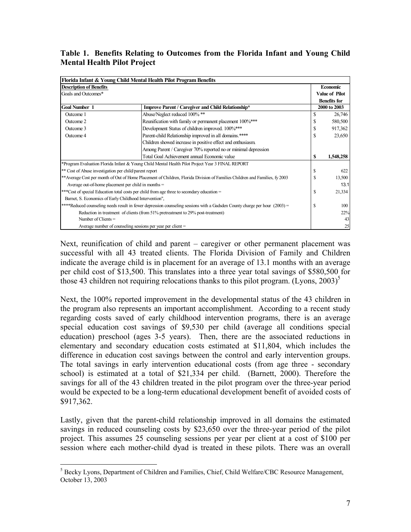**Table 1. Benefits Relating to Outcomes from the Florida Infant and Young Child Mental Health Pilot Project** 

|                                                                                                                            | Florida Infant & Young Child Mental Health Pilot Program Benefits                                                           |    |                       |  |  |  |  |
|----------------------------------------------------------------------------------------------------------------------------|-----------------------------------------------------------------------------------------------------------------------------|----|-----------------------|--|--|--|--|
| <b>Description of Benefits</b>                                                                                             |                                                                                                                             |    | Economic              |  |  |  |  |
| Goals and Outcomes*                                                                                                        |                                                                                                                             |    | <b>Value of Pilot</b> |  |  |  |  |
|                                                                                                                            |                                                                                                                             |    | <b>Benefits for</b>   |  |  |  |  |
| <b>Goal Number 1</b>                                                                                                       | Improve Parent / Caregiver and Child Relationship*                                                                          |    |                       |  |  |  |  |
| Outcome 1                                                                                                                  | Abuse/Neglect reduced 100% **                                                                                               | \$ | 26,746                |  |  |  |  |
| Outcome 2                                                                                                                  | Reunification with family or permanent placement 100%***                                                                    |    | 580,500               |  |  |  |  |
| Outcome 3                                                                                                                  | Development Status of children improved. 100%***                                                                            |    | 917,362               |  |  |  |  |
| Outcome 4                                                                                                                  | Parent-child Relationship improved in all domains.****                                                                      | \$ | 23,650                |  |  |  |  |
|                                                                                                                            | Children showed increase in positive effect and enthusiasm.                                                                 |    |                       |  |  |  |  |
|                                                                                                                            | Among Parent / Caregiver 70% reported no or minimal depression                                                              |    |                       |  |  |  |  |
|                                                                                                                            | Total Goal Achievement annual Economic value                                                                                | S  | 1,548,258             |  |  |  |  |
|                                                                                                                            | *Program Evaluation Florida Infant & Young Child Mental Health Pilot Project Year 3 FINAL REPORT                            |    |                       |  |  |  |  |
| ** Cost of Abuse investigation per child/parent report                                                                     |                                                                                                                             | \$ | 622                   |  |  |  |  |
|                                                                                                                            | ** Average Cost per month of Out of Home Placement of Children, Florida Division of Families Children and Families, fy 2003 |    |                       |  |  |  |  |
| Average out-of-home placement per child in months $=$                                                                      |                                                                                                                             |    |                       |  |  |  |  |
| ***Cost of special Education total costs per child from age three to secondary education =                                 |                                                                                                                             |    |                       |  |  |  |  |
| Barnet, S. Economics of Early Childhood Intervention",                                                                     |                                                                                                                             |    |                       |  |  |  |  |
| ****Reduced counseling needs result in fewer depression counseling sessions with a Gadsden County charge per hour (2003) = |                                                                                                                             |    |                       |  |  |  |  |
| Reduction in treatment of clients (from 51% pretreatment to 29% post-treatment)                                            |                                                                                                                             |    |                       |  |  |  |  |
| Number of Clients $=$                                                                                                      |                                                                                                                             |    |                       |  |  |  |  |
| Average number of counseling sessions per year per client $=$                                                              |                                                                                                                             |    |                       |  |  |  |  |

Next, reunification of child and parent – caregiver or other permanent placement was successful with all 43 treated clients. The Florida Division of Family and Children indicate the average child is in placement for an average of 13.1 months with an average per child cost of \$13,500. This translates into a three year total savings of \$580,500 for those 43 children not requiring relocations thanks to this pilot program. (Lyons,  $2003$ )<sup>5</sup>

Next, the 100% reported improvement in the developmental status of the 43 children in the program also represents an important accomplishment. According to a recent study regarding costs saved of early childhood intervention programs, there is an average special education cost savings of \$9,530 per child (average all conditions special education) preschool (ages 3-5 years). Then, there are the associated reductions in elementary and secondary education costs estimated at \$11,804, which includes the difference in education cost savings between the control and early intervention groups. The total savings in early intervention educational costs (from age three - secondary school) is estimated at a total of \$21,334 per child. (Barnett, 2000). Therefore the savings for all of the 43 children treated in the pilot program over the three-year period would be expected to be a long-term educational development benefit of avoided costs of \$917,362.

Lastly, given that the parent-child relationship improved in all domains the estimated savings in reduced counseling costs by \$23,650 over the three-year period of the pilot project. This assumes 25 counseling sessions per year per client at a cost of \$100 per session where each mother-child dyad is treated in these pilots. There was an overall

<span id="page-6-0"></span><sup>1</sup> <sup>5</sup> Becky Lyons, Department of Children and Families, Chief, Child Welfare/CBC Resource Management, October 13, 2003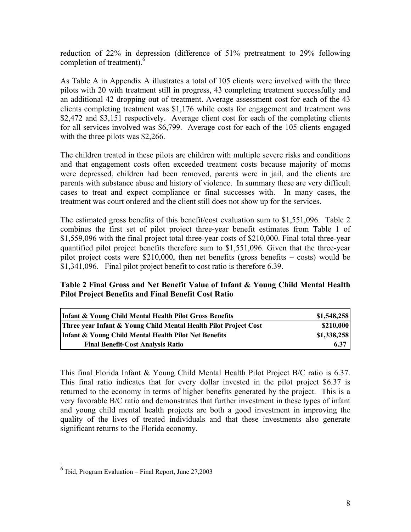reduction of 22% in depression (difference of 51% pretreatment to 29% following completion of treatment).<sup>6</sup>

As Table A in Appendix A illustrates a total of 105 clients were involved with the three pilots with 20 with treatment still in progress, 43 completing treatment successfully and an additional 42 dropping out of treatment. Average assessment cost for each of the 43 clients completing treatment was \$1,176 while costs for engagement and treatment was \$2,472 and \$3,151 respectively. Average client cost for each of the completing clients for all services involved was \$6,799. Average cost for each of the 105 clients engaged with the three pilots was \$2,266.

The children treated in these pilots are children with multiple severe risks and conditions and that engagement costs often exceeded treatment costs because majority of moms were depressed, children had been removed, parents were in jail, and the clients are parents with substance abuse and history of violence. In summary these are very difficult cases to treat and expect compliance or final successes with. In many cases, the treatment was court ordered and the client still does not show up for the services.

The estimated gross benefits of this benefit/cost evaluation sum to \$1,551,096. Table 2 combines the first set of pilot project three-year benefit estimates from Table 1 of \$1,559,096 with the final project total three-year costs of \$210,000. Final total three-year quantified pilot project benefits therefore sum to \$1,551,096. Given that the three-year pilot project costs were \$210,000, then net benefits (gross benefits – costs) would be \$1,341,096. Final pilot project benefit to cost ratio is therefore 6.39.

#### **Table 2 Final Gross and Net Benefit Value of Infant & Young Child Mental Health Pilot Project Benefits and Final Benefit Cost Ratio**

| Infant & Young Child Mental Health Pilot Gross Benefits          | \$1,548,258 |
|------------------------------------------------------------------|-------------|
| Three year Infant & Young Child Mental Health Pilot Project Cost | \$210,000   |
| Infant & Young Child Mental Health Pilot Net Benefits            | \$1,338,258 |
| <b>Final Benefit-Cost Analysis Ratio</b>                         | 6.37        |

This final Florida Infant & Young Child Mental Health Pilot Project B/C ratio is 6.37. This final ratio indicates that for every dollar invested in the pilot project \$6.37 is returned to the economy in terms of higher benefits generated by the project. This is a very favorable B/C ratio and demonstrates that further investment in these types of infant and young child mental health projects are both a good investment in improving the quality of the lives of treated individuals and that these investments also generate significant returns to the Florida economy.

 $\overline{a}$ 

<span id="page-7-0"></span> $^6$  Ibid, Program Evaluation – Final Report, June 27,2003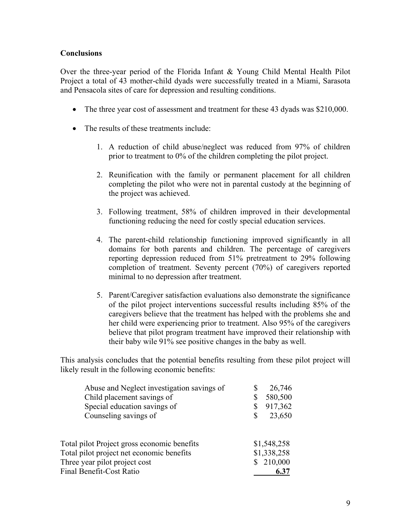#### **Conclusions**

Over the three-year period of the Florida Infant & Young Child Mental Health Pilot Project a total of 43 mother-child dyads were successfully treated in a Miami, Sarasota and Pensacola sites of care for depression and resulting conditions.

- The three year cost of assessment and treatment for these 43 dyads was \$210,000.
- The results of these treatments include:
	- 1. A reduction of child abuse/neglect was reduced from 97% of children prior to treatment to 0% of the children completing the pilot project.
	- 2. Reunification with the family or permanent placement for all children completing the pilot who were not in parental custody at the beginning of the project was achieved.
	- 3. Following treatment, 58% of children improved in their developmental functioning reducing the need for costly special education services.
	- 4. The parent-child relationship functioning improved significantly in all domains for both parents and children. The percentage of caregivers reporting depression reduced from 51% pretreatment to 29% following completion of treatment. Seventy percent (70%) of caregivers reported minimal to no depression after treatment.
	- 5. Parent/Caregiver satisfaction evaluations also demonstrate the significance of the pilot project interventions successful results including 85% of the caregivers believe that the treatment has helped with the problems she and her child were experiencing prior to treatment. Also 95% of the caregivers believe that pilot program treatment have improved their relationship with their baby wile 91% see positive changes in the baby as well.

This analysis concludes that the potential benefits resulting from these pilot project will likely result in the following economic benefits:

| Abuse and Neglect investigation savings of  | S   | 26,746      |
|---------------------------------------------|-----|-------------|
| Child placement savings of                  | \$  | 580,500     |
| Special education savings of                |     | 917,362     |
| Counseling savings of                       | \$  | 23,650      |
|                                             |     |             |
| Total pilot Project gross economic benefits |     | \$1,548,258 |
| Total pilot project net economic benefits   |     | \$1,338,258 |
| Three year pilot project cost               | \$. | 210,000     |
| <b>Final Benefit-Cost Ratio</b>             |     | 6.37        |
|                                             |     |             |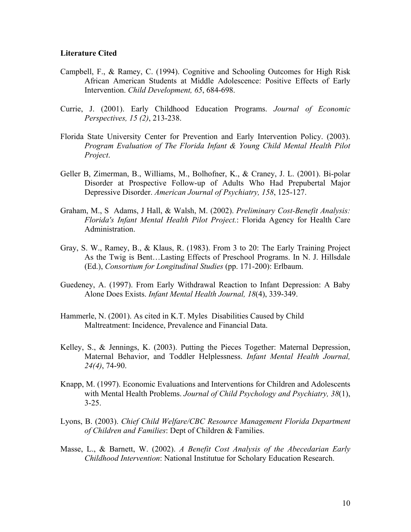#### **Literature Cited**

- Campbell, F., & Ramey, C. (1994). Cognitive and Schooling Outcomes for High Risk African American Students at Middle Adolescence: Positive Effects of Early Intervention. *Child Development, 65*, 684-698.
- Currie, J. (2001). Early Childhood Education Programs. *Journal of Economic Perspectives, 15 (2)*, 213-238.
- Florida State University Center for Prevention and Early Intervention Policy. (2003). *Program Evaluation of The Florida Infant & Young Child Mental Health Pilot Project*.
- Geller B, Zimerman, B., Williams, M., Bolhofner, K., & Craney, J. L. (2001). Bi-polar Disorder at Prospective Follow-up of Adults Who Had Prepubertal Major Depressive Disorder. *American Journal of Psychiatry, 158*, 125-127.
- Graham, M., S Adams, J Hall, & Walsh, M. (2002). *Preliminary Cost-Benefit Analysis: Florida's Infant Mental Health Pilot Project.*: Florida Agency for Health Care Administration.
- Gray, S. W., Ramey, B., & Klaus, R. (1983). From 3 to 20: The Early Training Project As the Twig is Bent…Lasting Effects of Preschool Programs. In N. J. Hillsdale (Ed.), *Consortium for Longitudinal Studies* (pp. 171-200): Erlbaum.
- Guedeney, A. (1997). From Early Withdrawal Reaction to Infant Depression: A Baby Alone Does Exists. *Infant Mental Health Journal, 18*(4), 339-349.
- Hammerle, N. (2001). As cited in K.T. Myles Disabilities Caused by Child Maltreatment: Incidence, Prevalence and Financial Data.
- Kelley, S., & Jennings, K. (2003). Putting the Pieces Together: Maternal Depression, Maternal Behavior, and Toddler Helplessness. *Infant Mental Health Journal, 24(4)*, 74-90.
- Knapp, M. (1997). Economic Evaluations and Interventions for Children and Adolescents with Mental Health Problems. *Journal of Child Psychology and Psychiatry, 38*(1), 3-25.
- Lyons, B. (2003). *Chief Child Welfare/CBC Resource Management Florida Department of Children and Families*: Dept of Children & Families.
- Masse, L., & Barnett, W. (2002). *A Benefit Cost Analysis of the Abecedarian Early Childhood Intervention*: National Institutue for Scholary Education Research.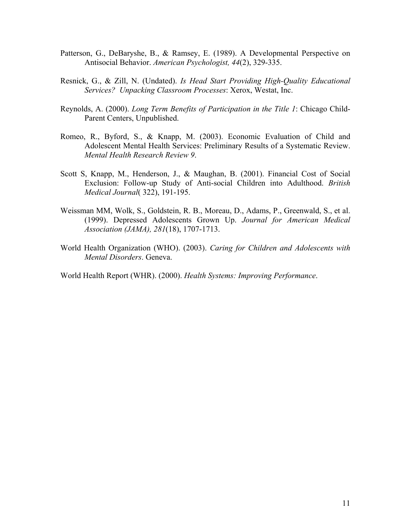- Patterson, G., DeBaryshe, B., & Ramsey, E. (1989). A Developmental Perspective on Antisocial Behavior. *American Psychologist, 44*(2), 329-335.
- Resnick, G., & Zill, N. (Undated). *Is Head Start Providing High-Quality Educational Services? Unpacking Classroom Processes*: Xerox, Westat, Inc.
- Reynolds, A. (2000). *Long Term Benefits of Participation in the Title 1*: Chicago Child-Parent Centers, Unpublished.
- Romeo, R., Byford, S., & Knapp, M. (2003). Economic Evaluation of Child and Adolescent Mental Health Services: Preliminary Results of a Systematic Review. *Mental Health Research Review 9*.
- Scott S, Knapp, M., Henderson, J., & Maughan, B. (2001). Financial Cost of Social Exclusion: Follow-up Study of Anti-social Children into Adulthood. *British Medical Journal*( 322), 191-195.
- Weissman MM, Wolk, S., Goldstein, R. B., Moreau, D., Adams, P., Greenwald, S., et al. (1999). Depressed Adolescents Grown Up. *Journal for American Medical Association (JAMA), 281*(18), 1707-1713.
- World Health Organization (WHO). (2003). *Caring for Children and Adolescents with Mental Disorders*. Geneva.

World Health Report (WHR). (2000). *Health Systems: Improving Performance*.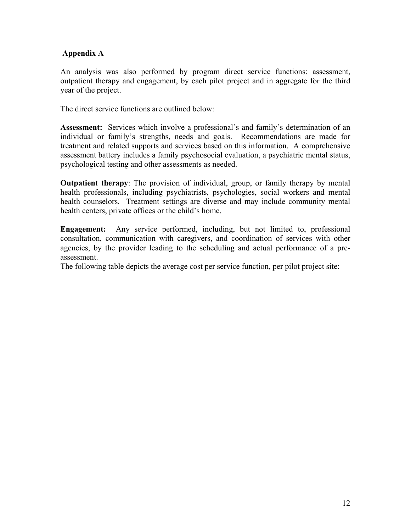# **Appendix A**

An analysis was also performed by program direct service functions: assessment, outpatient therapy and engagement, by each pilot project and in aggregate for the third year of the project.

The direct service functions are outlined below:

**Assessment:** Services which involve a professional's and family's determination of an individual or family's strengths, needs and goals. Recommendations are made for treatment and related supports and services based on this information. A comprehensive assessment battery includes a family psychosocial evaluation, a psychiatric mental status, psychological testing and other assessments as needed.

**Outpatient therapy**: The provision of individual, group, or family therapy by mental health professionals, including psychiatrists, psychologies, social workers and mental health counselors. Treatment settings are diverse and may include community mental health centers, private offices or the child's home.

**Engagement:** Any service performed, including, but not limited to, professional consultation, communication with caregivers, and coordination of services with other agencies, by the provider leading to the scheduling and actual performance of a preassessment.

The following table depicts the average cost per service function, per pilot project site: